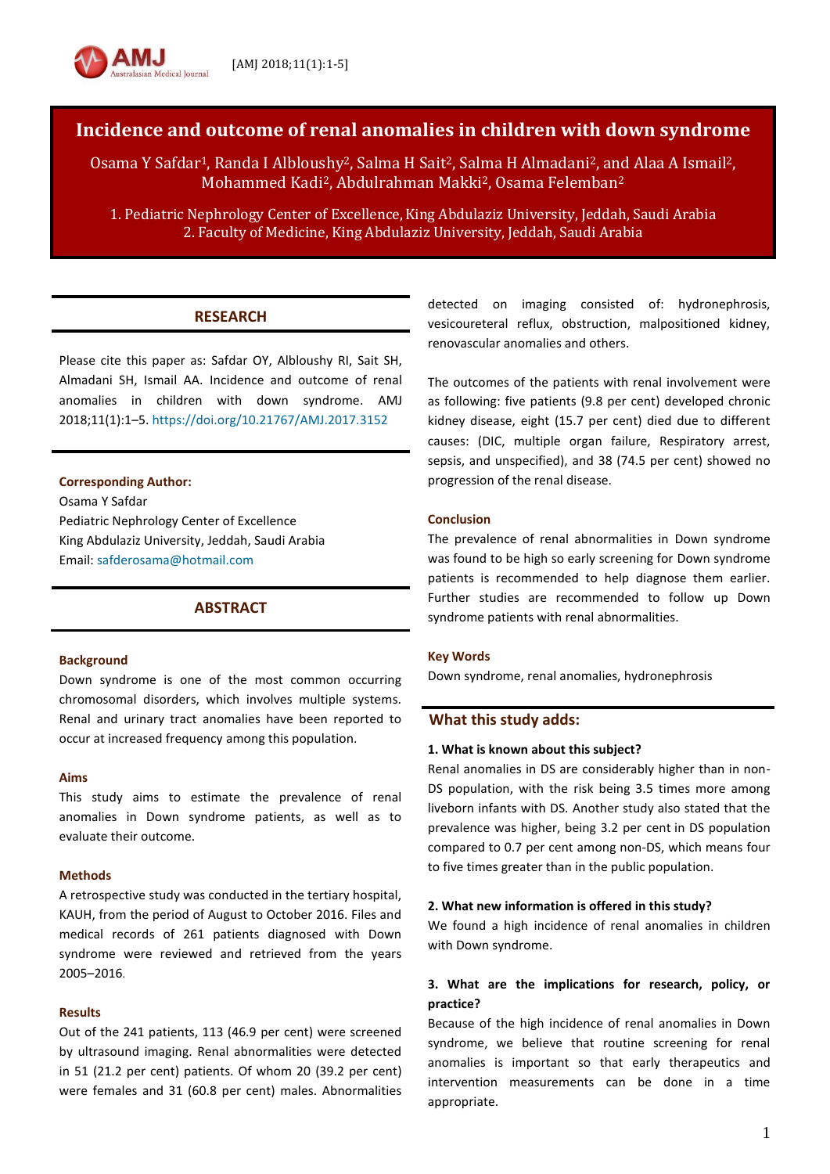# **Incidence and outcome of renal anomalies in children with down syndrome**

Osama Y Safdar1, Randa I Albloushy2, Salma H Sait2, Salma H Almadani2, and Alaa A Ismail2, Mohammed Kadi<sup>2</sup>, Abdulrahman Makki<sup>2</sup>, Osama Felemban<sup>2</sup>

1. Pediatric Nephrology Center of Excellence,King Abdulaziz University, Jeddah, Saudi Arabia 2. Faculty of Medicine, King Abdulaziz University, Jeddah, Saudi Arabia

## **RESEARCH**

Please cite this paper as: Safdar OY, Albloushy RI, Sait SH, Almadani SH, Ismail AA. Incidence and outcome of renal anomalies in children with down syndrome. AMJ 2018;11(1):1–5.<https://doi.org/10.21767/AMJ.2017.3152>

### **Corresponding Author:**

Osama Y Safdar Pediatric Nephrology Center of Excellence King Abdulaziz University, Jeddah, Saudi Arabia Email: [safderosama@hotmail.com](mailto:safderosama@hotmail.com)

## **ABSTRACT**

#### **Background**

Down syndrome is one of the most common occurring chromosomal disorders, which involves multiple systems. Renal and urinary tract anomalies have been reported to occur at increased frequency among this population.

#### **Aims**

This study aims to estimate the prevalence of renal anomalies in Down syndrome patients, as well as to evaluate their outcome.

#### **Methods**

A retrospective study was conducted in the tertiary hospital, KAUH, from the period of August to October 2016. Files and medical records of 261 patients diagnosed with Down syndrome were reviewed and retrieved from the years 2005–2016.

#### **Results**

Out of the 241 patients, 113 (46.9 per cent) were screened by ultrasound imaging. Renal abnormalities were detected in 51 (21.2 per cent) patients. Of whom 20 (39.2 per cent) were females and 31 (60.8 per cent) males. Abnormalities

detected on imaging consisted of: hydronephrosis, vesicoureteral reflux, obstruction, malpositioned kidney, renovascular anomalies and others.

The outcomes of the patients with renal involvement were as following: five patients (9.8 per cent) developed chronic kidney disease, eight (15.7 per cent) died due to different causes: (DIC, multiple organ failure, Respiratory arrest, sepsis, and unspecified), and 38 (74.5 per cent) showed no progression of the renal disease.

#### **Conclusion**

The prevalence of renal abnormalities in Down syndrome was found to be high so early screening for Down syndrome patients is recommended to help diagnose them earlier. Further studies are recommended to follow up Down syndrome patients with renal abnormalities.

#### **Key Words**

Down syndrome, renal anomalies, hydronephrosis

#### **What this study adds:**

#### **1. What is known about this subject?**

Renal anomalies in DS are considerably higher than in non-DS population, with the risk being 3.5 times more among liveborn infants with DS. Another study also stated that the prevalence was higher, being 3.2 per cent in DS population compared to 0.7 per cent among non-DS, which means four to five times greater than in the public population.

#### **2. What new information is offered in this study?**

We found a high incidence of renal anomalies in children with Down syndrome.

## **3. What are the implications for research, policy, or practice?**

Because of the high incidence of renal anomalies in Down syndrome, we believe that routine screening for renal anomalies is important so that early therapeutics and intervention measurements can be done in a time appropriate.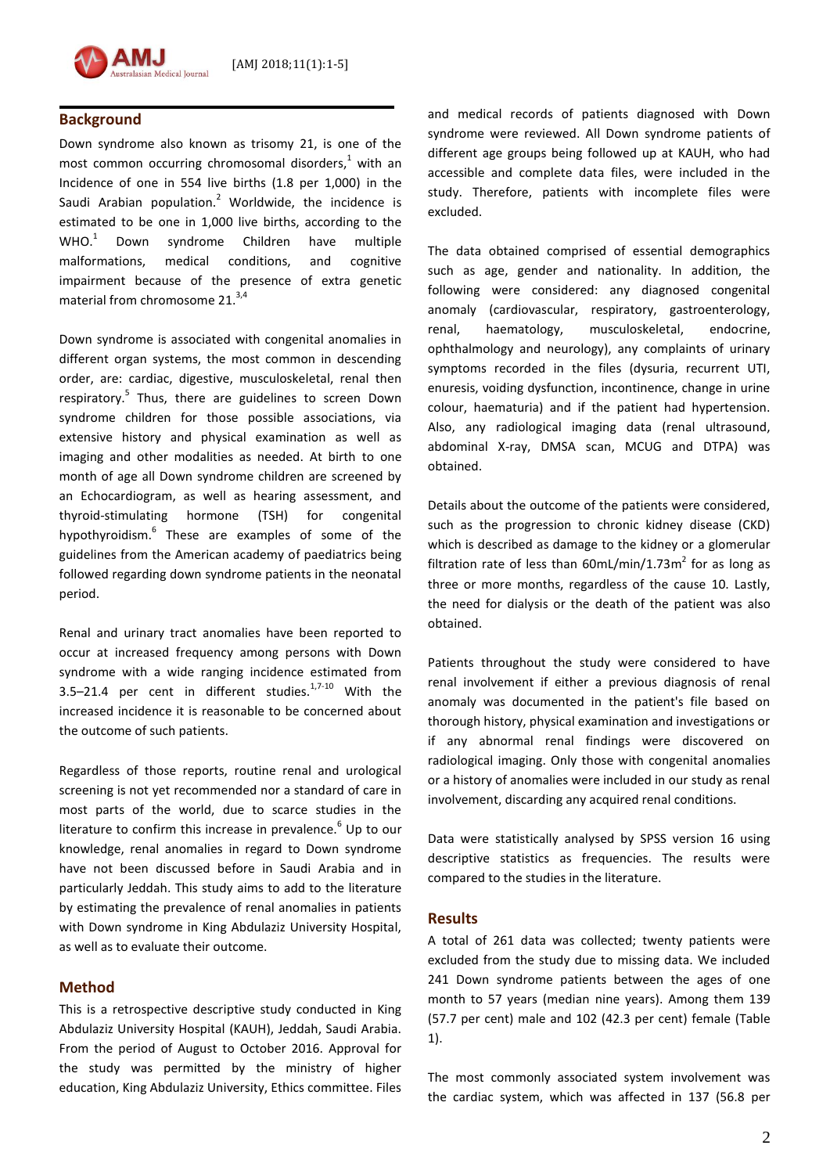

## **Background**

Down syndrome also known as trisomy 21, is one of the most common occurring chromosomal disorders, <sup>1</sup> with an Incidence of one in 554 live births (1.8 per 1,000) in the Saudi Arabian population.<sup>2</sup> Worldwide, the incidence is estimated to be one in 1,000 live births, according to the  $WHO.<sup>1</sup>$ syndrome Children have multiple malformations, medical conditions, and cognitive impairment because of the presence of extra genetic material from chromosome 21.<sup>3,4</sup>

Down syndrome is associated with congenital anomalies in different organ systems, the most common in descending order, are: cardiac, digestive, musculoskeletal, renal then respiratory.<sup>5</sup> Thus, there are guidelines to screen Down syndrome children for those possible associations, via extensive history and physical examination as well as imaging and other modalities as needed. At birth to one month of age all Down syndrome children are screened by an Echocardiogram, as well as hearing assessment, and thyroid-stimulating hormone (TSH) for congenital hypothyroidism.<sup>6</sup> These are examples of some of the guidelines from the American academy of paediatrics being followed regarding down syndrome patients in the neonatal period.

Renal and urinary tract anomalies have been reported to occur at increased frequency among persons with Down syndrome with a wide ranging incidence estimated from 3.5–21.4 per cent in different studies. $17-10$  With the increased incidence it is reasonable to be concerned about the outcome of such patients.

Regardless of those reports, routine renal and urological screening is not yet recommended nor a standard of care in most parts of the world, due to scarce studies in the literature to confirm this increase in prevalence.<sup>6</sup> Up to our knowledge, renal anomalies in regard to Down syndrome have not been discussed before in Saudi Arabia and in particularly Jeddah. This study aims to add to the literature by estimating the prevalence of renal anomalies in patients with Down syndrome in King Abdulaziz University Hospital, as well as to evaluate their outcome.

## **Method**

This is a retrospective descriptive study conducted in King Abdulaziz University Hospital (KAUH), Jeddah, Saudi Arabia. From the period of August to October 2016. Approval for the study was permitted by the ministry of higher education, King Abdulaziz University, Ethics committee. Files and medical records of patients diagnosed with Down syndrome were reviewed. All Down syndrome patients of different age groups being followed up at KAUH, who had accessible and complete data files, were included in the study. Therefore, patients with incomplete files were excluded.

The data obtained comprised of essential demographics such as age, gender and nationality. In addition, the following were considered: any diagnosed congenital anomaly (cardiovascular, respiratory, gastroenterology, renal, haematology, musculoskeletal, endocrine, ophthalmology and neurology), any complaints of urinary symptoms recorded in the files (dysuria, recurrent UTI, enuresis, voiding dysfunction, incontinence, change in urine colour, haematuria) and if the patient had hypertension. Also, any radiological imaging data (renal ultrasound, abdominal X-ray, DMSA scan, MCUG and DTPA) was obtained.

Details about the outcome of the patients were considered, such as the progression to chronic kidney disease (CKD) which is described as damage to the kidney or a glomerular filtration rate of less than  $60$ mL/min/1.73m<sup>2</sup> for as long as three or more months, regardless of the cause 10. Lastly, the need for dialysis or the death of the patient was also obtained.

Patients throughout the study were considered to have renal involvement if either a previous diagnosis of renal anomaly was documented in the patient's file based on thorough history, physical examination and investigations or if any abnormal renal findings were discovered on radiological imaging. Only those with congenital anomalies or a history of anomalies were included in our study as renal involvement, discarding any acquired renal conditions.

Data were statistically analysed by SPSS version 16 using descriptive statistics as frequencies. The results were compared to the studies in the literature.

#### **Results**

A total of 261 data was collected; twenty patients were excluded from the study due to missing data. We included 241 Down syndrome patients between the ages of one month to 57 years (median nine years). Among them 139 (57.7 per cent) male and 102 (42.3 per cent) female (Table 1).

The most commonly associated system involvement was the cardiac system, which was affected in 137 (56.8 per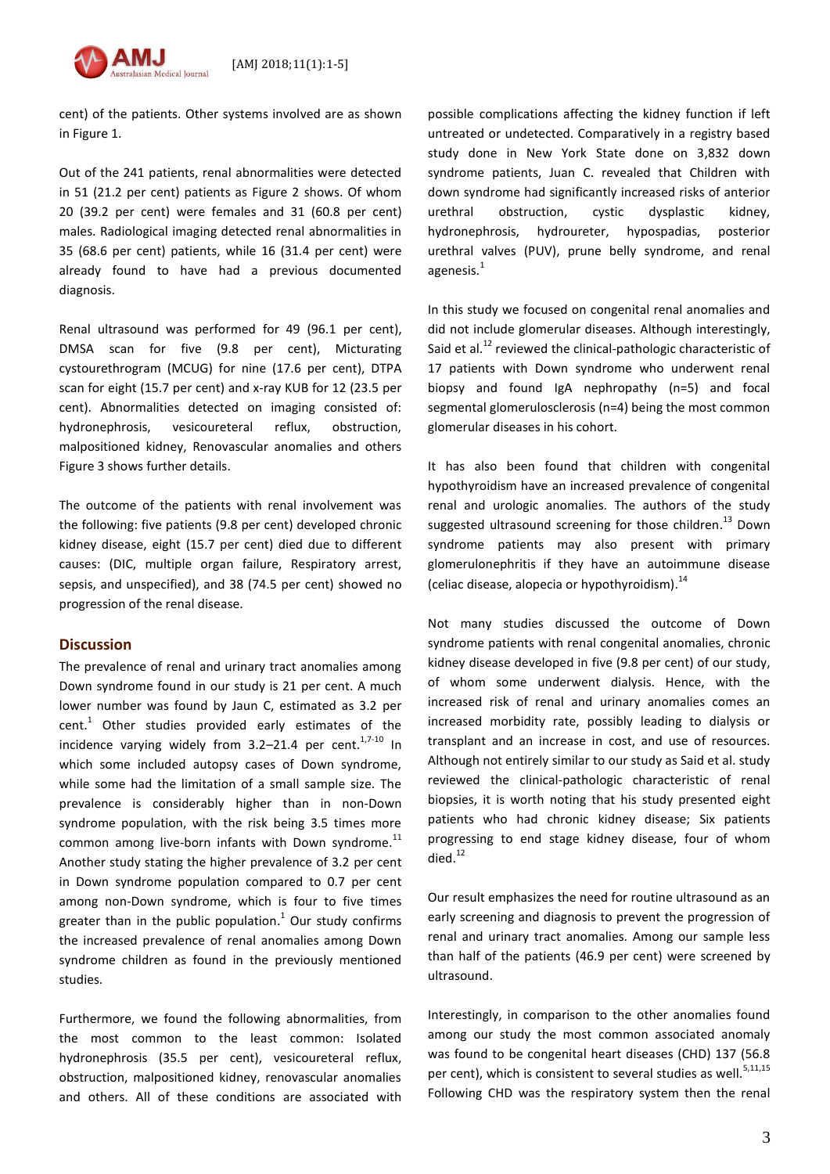[AMJ 2018;11(1):1-5]



cent) of the patients. Other systems involved are as shown in Figure 1.

Out of the 241 patients, renal abnormalities were detected in 51 (21.2 per cent) patients as Figure 2 shows. Of whom 20 (39.2 per cent) were females and 31 (60.8 per cent) males. Radiological imaging detected renal abnormalities in 35 (68.6 per cent) patients, while 16 (31.4 per cent) were already found to have had a previous documented diagnosis.

Renal ultrasound was performed for 49 (96.1 per cent), DMSA scan for five (9.8 per cent), Micturating cystourethrogram (MCUG) for nine (17.6 per cent), DTPA scan for eight (15.7 per cent) and x-ray KUB for 12 (23.5 per cent). Abnormalities detected on imaging consisted of: hydronephrosis, vesicoureteral reflux, obstruction, malpositioned kidney, Renovascular anomalies and others Figure 3 shows further details.

The outcome of the patients with renal involvement was the following: five patients (9.8 per cent) developed chronic kidney disease, eight (15.7 per cent) died due to different causes: (DIC, multiple organ failure, Respiratory arrest, sepsis, and unspecified), and 38 (74.5 per cent) showed no progression of the renal disease.

## **Discussion**

The prevalence of renal and urinary tract anomalies among Down syndrome found in our study is 21 per cent. A much lower number was found by Jaun C, estimated as 3.2 per cent. $1$  Other studies provided early estimates of the incidence varying widely from  $3.2-21.4$  per cent.<sup>1,7-10</sup> In which some included autopsy cases of Down syndrome, while some had the limitation of a small sample size. The prevalence is considerably higher than in non-Down syndrome population, with the risk being 3.5 times more common among live-born infants with Down syndrome.<sup>11</sup> Another study stating the higher prevalence of 3.2 per cent in Down syndrome population compared to 0.7 per cent among non-Down syndrome, which is four to five times greater than in the public population.<sup>1</sup> Our study confirms the increased prevalence of renal anomalies among Down syndrome children as found in the previously mentioned studies.

Furthermore, we found the following abnormalities, from the most common to the least common: Isolated hydronephrosis (35.5 per cent), vesicoureteral reflux, obstruction, malpositioned kidney, renovascular anomalies and others. All of these conditions are associated with possible complications affecting the kidney function if left untreated or undetected. Comparatively in a registry based study done in New York State done on 3,832 down syndrome patients, Juan C. revealed that Children with down syndrome had significantly increased risks of anterior urethral obstruction, cystic dysplastic kidney, hydronephrosis, hydroureter, hypospadias, posterior urethral valves (PUV), prune belly syndrome, and renal agenesis.<sup>1</sup>

In this study we focused on congenital renal anomalies and did not include glomerular diseases. Although interestingly, Said et al.<sup>12</sup> reviewed the clinical-pathologic characteristic of 17 patients with Down syndrome who underwent renal biopsy and found IgA nephropathy (n=5) and focal segmental glomerulosclerosis (n=4) being the most common glomerular diseases in his cohort.

It has also been found that children with congenital hypothyroidism have an increased prevalence of congenital renal and urologic anomalies. The authors of the study suggested ultrasound screening for those children.<sup>13</sup> Down syndrome patients may also present with primary glomerulonephritis if they have an autoimmune disease (celiac disease, alopecia or hypothyroidism).<sup>14</sup>

Not many studies discussed the outcome of Down syndrome patients with renal congenital anomalies, chronic kidney disease developed in five (9.8 per cent) of our study, of whom some underwent dialysis. Hence, with the increased risk of renal and urinary anomalies comes an increased morbidity rate, possibly leading to dialysis or transplant and an increase in cost, and use of resources. Although not entirely similar to our study as Said et al. study reviewed the clinical-pathologic characteristic of renal biopsies, it is worth noting that his study presented eight patients who had chronic kidney disease; Six patients progressing to end stage kidney disease, four of whom died. 12

Our result emphasizes the need for routine ultrasound as an early screening and diagnosis to prevent the progression of renal and urinary tract anomalies. Among our sample less than half of the patients (46.9 per cent) were screened by ultrasound.

Interestingly, in comparison to the other anomalies found among our study the most common associated anomaly was found to be congenital heart diseases (CHD) 137 (56.8 per cent), which is consistent to several studies as well.<sup>5,11,15</sup> Following CHD was the respiratory system then the renal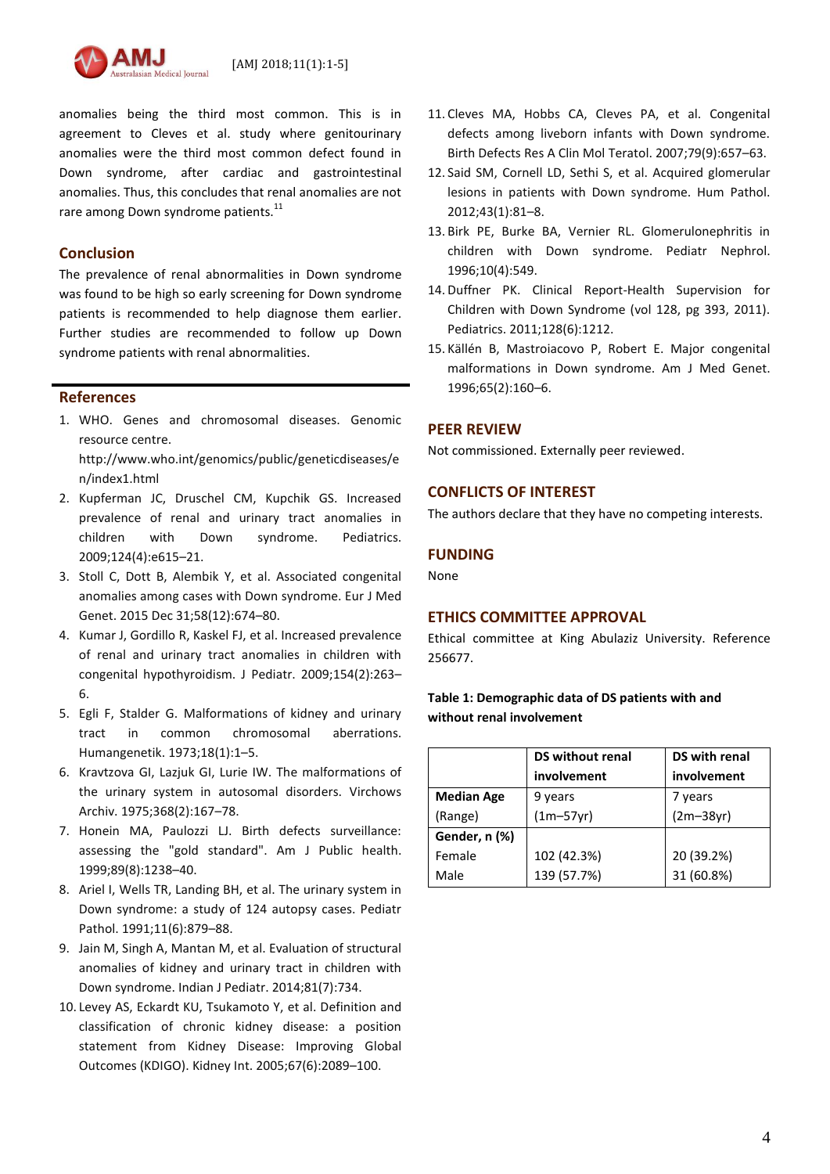[AMJ 2018;11(1):1-5]

anomalies being the third most common. This is in agreement to Cleves et al. study where genitourinary anomalies were the third most common defect found in Down syndrome, after cardiac and gastrointestinal anomalies. Thus, this concludes that renal anomalies are not rare among Down syndrome patients.<sup>11</sup>

### **Conclusion**

The prevalence of renal abnormalities in Down syndrome was found to be high so early screening for Down syndrome patients is recommended to help diagnose them earlier. Further studies are recommended to follow up Down syndrome patients with renal abnormalities.

### **References**

1. WHO. Genes and chromosomal diseases. Genomic resource centre.

[http://www.who.int/genomics/public/geneticdiseases/e](http://www.who.int/genomics/public/geneticdiseases/en/index1.html) [n/index1.html](http://www.who.int/genomics/public/geneticdiseases/en/index1.html)

- 2. Kupferman JC, Druschel CM, Kupchik GS. Increased prevalence of renal and urinary tract anomalies in children with Down syndrome. Pediatrics. 2009;124(4):e615–21.
- 3. Stoll C, Dott B, Alembik Y, et al. Associated congenital anomalies among cases with Down syndrome. Eur J Med Genet. 2015 Dec 31;58(12):674–80.
- 4. Kumar J, Gordillo R, Kaskel FJ, et al. Increased prevalence of renal and urinary tract anomalies in children with congenital hypothyroidism. J Pediatr. 2009;154(2):263– 6.
- 5. Egli F, Stalder G. Malformations of kidney and urinary tract in common chromosomal aberrations. Humangenetik. 1973;18(1):1–5.
- 6. Kravtzova GI, Lazjuk GI, Lurie IW. The malformations of the urinary system in autosomal disorders. Virchows Archiv. 1975;368(2):167–78.
- 7. Honein MA, Paulozzi LJ. Birth defects surveillance: assessing the "gold standard". Am J Public health. 1999;89(8):1238–40.
- 8. Ariel I, Wells TR, Landing BH, et al. The urinary system in Down syndrome: a study of 124 autopsy cases. Pediatr Pathol. 1991;11(6):879–88.
- 9. Jain M, Singh A, Mantan M, et al. Evaluation of structural anomalies of kidney and urinary tract in children with Down syndrome. Indian J Pediatr. 2014;81(7):734.
- 10. Levey AS, Eckardt KU, Tsukamoto Y, et al. Definition and classification of chronic kidney disease: a position statement from Kidney Disease: Improving Global Outcomes (KDIGO). Kidney Int. 2005;67(6):2089–100.
- 11. Cleves MA, Hobbs CA, Cleves PA, et al. Congenital defects among liveborn infants with Down syndrome. Birth Defects Res A Clin Mol Teratol. 2007;79(9):657–63.
- 12. Said SM, Cornell LD, Sethi S, et al. Acquired glomerular lesions in patients with Down syndrome. Hum Pathol. 2012;43(1):81–8.
- 13. Birk PE, Burke BA, Vernier RL. Glomerulonephritis in children with Down syndrome. Pediatr Nephrol. 1996;10(4):549.
- 14. Duffner PK. Clinical Report-Health Supervision for Children with Down Syndrome (vol 128, pg 393, 2011). Pediatrics. 2011;128(6):1212.
- 15. Källén B, Mastroiacovo P, Robert E. Major congenital malformations in Down syndrome. Am J Med Genet. 1996;65(2):160–6.

### **PEER REVIEW**

Not commissioned. Externally peer reviewed.

### **CONFLICTS OF INTEREST**

The authors declare that they have no competing interests.

### **FUNDING**

None

### **ETHICS COMMITTEE APPROVAL**

Ethical committee at King Abulaziz University. Reference 256677.

## **Table 1: Demographic data of DS patients with and without renal involvement**

|                   | <b>DS without renal</b> | DS with renal |
|-------------------|-------------------------|---------------|
|                   | involvement             | involvement   |
| <b>Median Age</b> | 9 years                 | 7 years       |
| (Range)           | $(1m-57yr)$             | $(2m-38yr)$   |
| Gender, n (%)     |                         |               |
| Female            | 102 (42.3%)             | 20 (39.2%)    |
| Male              | 139 (57.7%)             | 31 (60.8%)    |